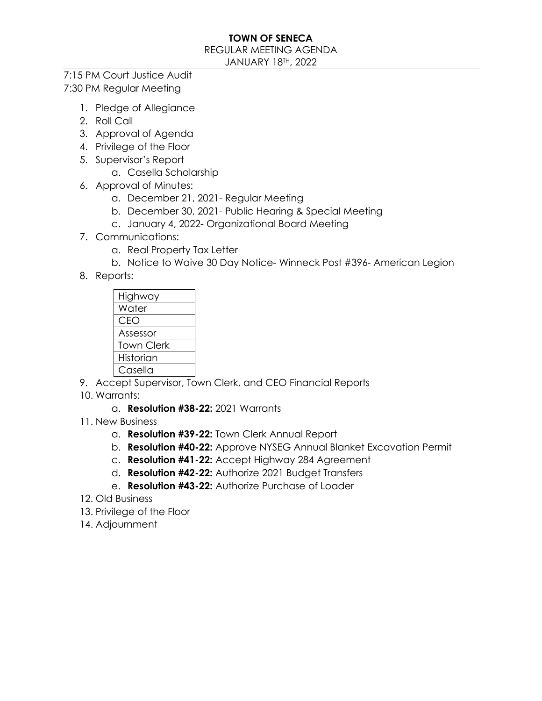#### REGULAR MEETING AGENDA

JANUARY 18TH, 2022

### 7:15 PM Court Justice Audit 7:30 PM Regular Meeting

- 1. Pledge of Allegiance
- 2. Roll Call
- 3. Approval of Agenda
- 4. Privilege of the Floor
- 5. Supervisor's Report
	- a. Casella Scholarship
- 6. Approval of Minutes:
	- a. December 21, 2021- Regular Meeting
	- b. December 30, 2021- Public Hearing & Special Meeting
	- c. January 4, 2022- Organizational Board Meeting
- 7. Communications:
	- a. Real Property Tax Letter
	- b. Notice to Waive 30 Day Notice- Winneck Post #396- American Legion
- 8. Reports:



- 9. Accept Supervisor, Town Clerk, and CEO Financial Reports
- 10. Warrants:
	- a. **Resolution #38-22:** 2021 Warrants
- 11. New Business
	- a. **Resolution #39-22:** Town Clerk Annual Report
	- b. **Resolution #40-22:** Approve NYSEG Annual Blanket Excavation Permit
	- c. **Resolution #41-22:** Accept Highway 284 Agreement
	- d. **Resolution #42-22:** Authorize 2021 Budget Transfers
	- e. **Resolution #43-22:** Authorize Purchase of Loader
- 12. Old Business
- 13. Privilege of the Floor
- 14. Adjournment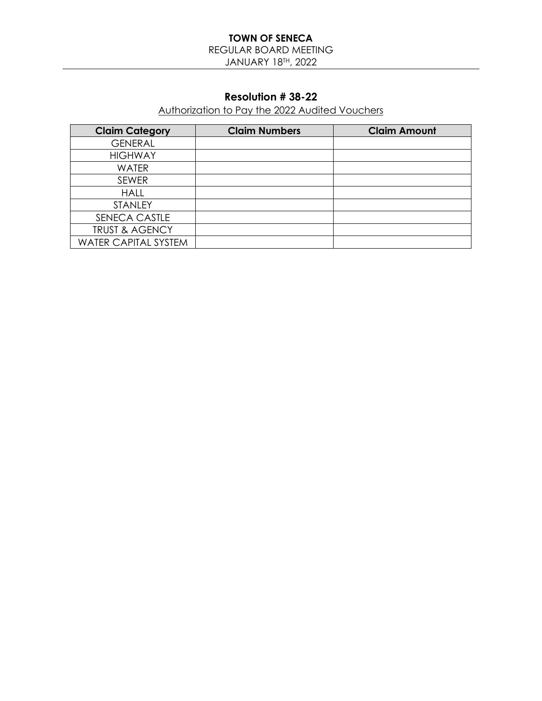REGULAR BOARD MEETING JANUARY 18TH, 2022

## **Resolution # 38-22**

Authorization to Pay the 2022 Audited Vouchers

| <b>Claim Category</b>       | <b>Claim Numbers</b> | <b>Claim Amount</b> |
|-----------------------------|----------------------|---------------------|
| <b>GENERAL</b>              |                      |                     |
| <b>HIGHWAY</b>              |                      |                     |
| <b>WATER</b>                |                      |                     |
| <b>SEWER</b>                |                      |                     |
| <b>HALL</b>                 |                      |                     |
| <b>STANLEY</b>              |                      |                     |
| SENECA CASTLE               |                      |                     |
| <b>TRUST &amp; AGENCY</b>   |                      |                     |
| <b>WATER CAPITAL SYSTEM</b> |                      |                     |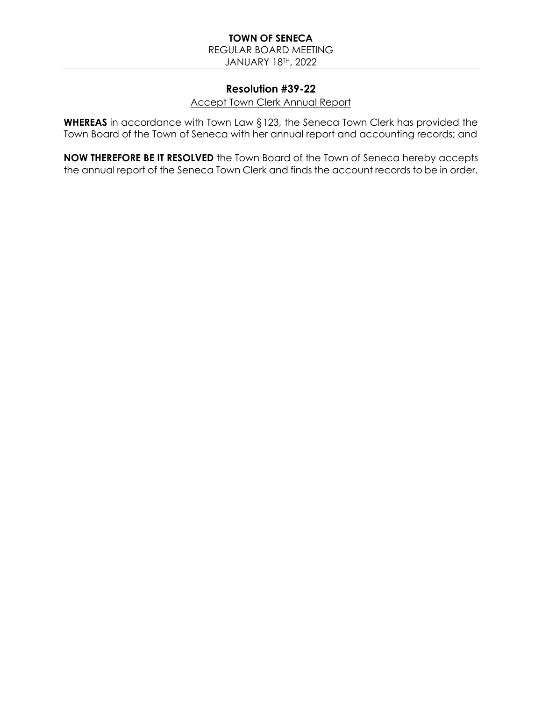REGULAR BOARD MEETING

JANUARY 18TH, 2022

## **Resolution #39-22**

#### Accept Town Clerk Annual Report

**WHEREAS** in accordance with Town Law §123, the Seneca Town Clerk has provided the Town Board of the Town of Seneca with her annual report and accounting records; and

**NOW THEREFORE BE IT RESOLVED** the Town Board of the Town of Seneca hereby accepts the annual report of the Seneca Town Clerk and finds the account records to be in order.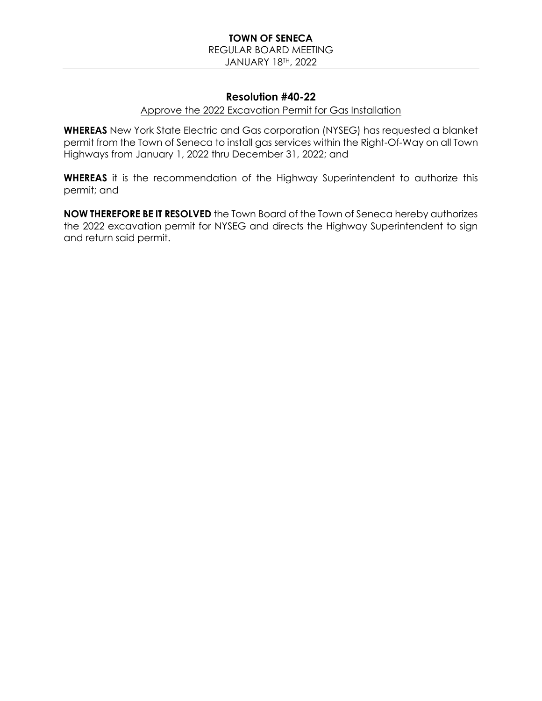#### **TOWN OF SENECA** REGULAR BOARD MEETING JANUARY 18TH, 2022

### **Resolution #40-22**

#### Approve the 2022 Excavation Permit for Gas Installation

**WHEREAS** New York State Electric and Gas corporation (NYSEG) has requested a blanket permit from the Town of Seneca to install gas services within the Right-Of-Way on all Town Highways from January 1, 2022 thru December 31, 2022; and

**WHEREAS** it is the recommendation of the Highway Superintendent to authorize this permit; and

**NOW THEREFORE BE IT RESOLVED** the Town Board of the Town of Seneca hereby authorizes the 2022 excavation permit for NYSEG and directs the Highway Superintendent to sign and return said permit.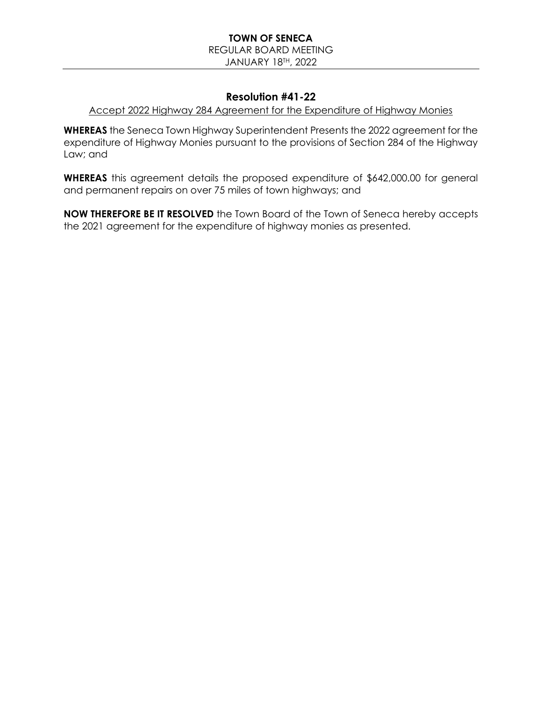#### **TOWN OF SENECA** REGULAR BOARD MEETING JANUARY 18TH, 2022

### **Resolution #41-22**

#### Accept 2022 Highway 284 Agreement for the Expenditure of Highway Monies

**WHEREAS** the Seneca Town Highway Superintendent Presents the 2022 agreement for the expenditure of Highway Monies pursuant to the provisions of Section 284 of the Highway Law; and

**WHEREAS** this agreement details the proposed expenditure of \$642,000.00 for general and permanent repairs on over 75 miles of town highways; and

**NOW THEREFORE BE IT RESOLVED** the Town Board of the Town of Seneca hereby accepts the 2021 agreement for the expenditure of highway monies as presented.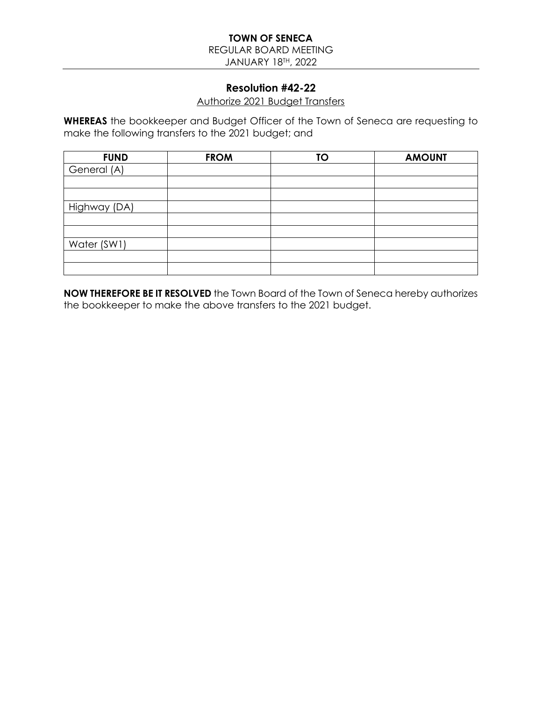REGULAR BOARD MEETING

JANUARY 18TH, 2022

### **Resolution #42-22**

#### Authorize 2021 Budget Transfers

**WHEREAS** the bookkeeper and Budget Officer of the Town of Seneca are requesting to make the following transfers to the 2021 budget; and

| <b>FUND</b>  | <b>FROM</b> | <b>TO</b> | <b>AMOUNT</b> |
|--------------|-------------|-----------|---------------|
| General (A)  |             |           |               |
|              |             |           |               |
|              |             |           |               |
| Highway (DA) |             |           |               |
|              |             |           |               |
|              |             |           |               |
| Water (SW1)  |             |           |               |
|              |             |           |               |
|              |             |           |               |

**NOW THEREFORE BE IT RESOLVED** the Town Board of the Town of Seneca hereby authorizes the bookkeeper to make the above transfers to the 2021 budget.